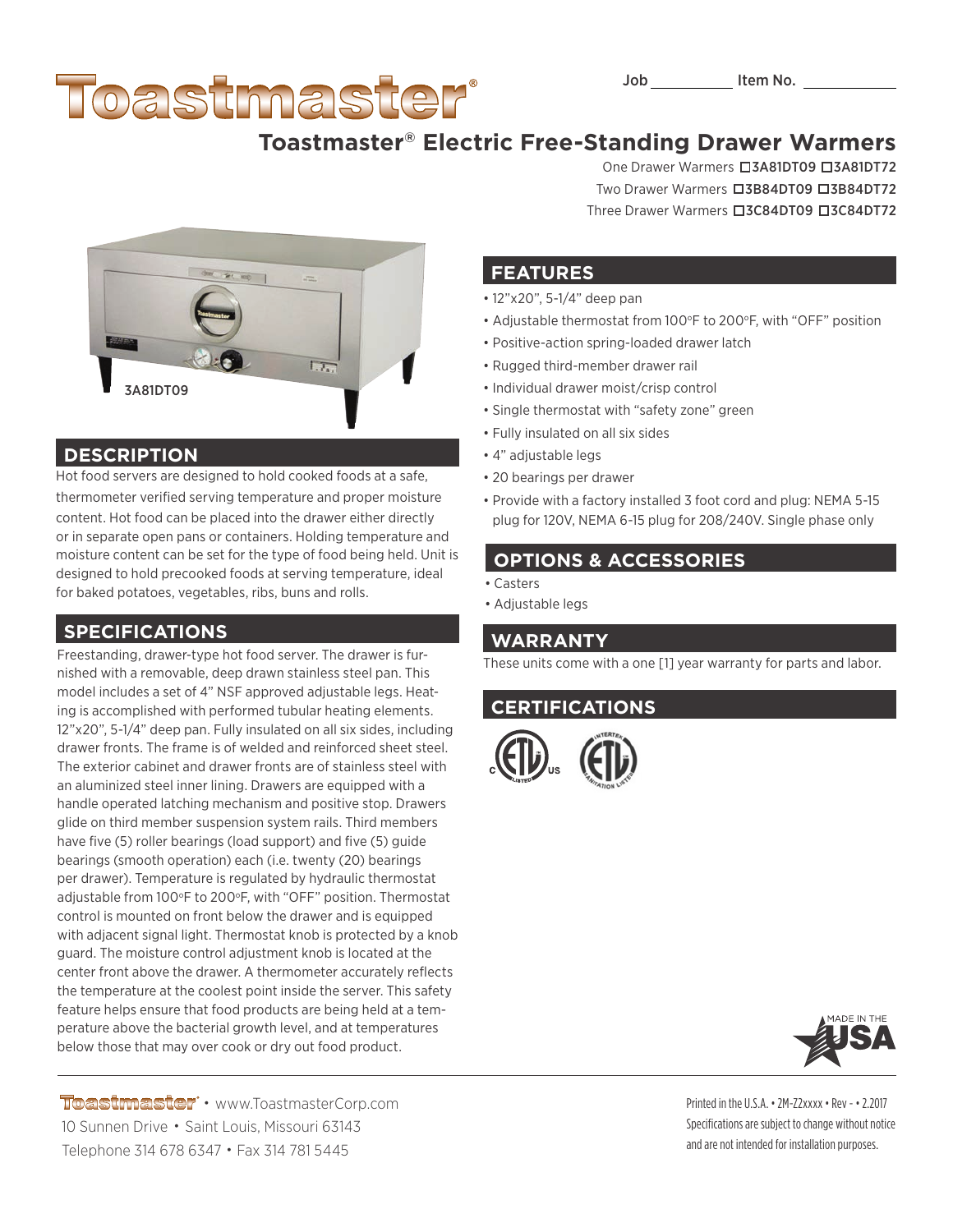# Toastmaster

# **Toastmaster® Electric Free-Standing Drawer Warmers**

One Drawer Warmers **03A81DT09 03A81DT72** Two Drawer Warmers **3B84DT09 03B84DT72** Three Drawer Warmers **3C84DT09 3C84DT72** 

#### **FEATURES**

- 12"x20", 5-1/4" deep pan
- Adjustable thermostat from 100°F to 200°F, with "OFF" position
- Positive-action spring-loaded drawer latch
- Rugged third-member drawer rail
- Individual drawer moist/crisp control
- Single thermostat with "safety zone" green
- Fully insulated on all six sides
- 4" adjustable legs
- 20 bearings per drawer
- Provide with a factory installed 3 foot cord and plug: NEMA 5-15 plug for 120V, NEMA 6-15 plug for 208/240V. Single phase only

## **OPTIONS & ACCESSORIES**

- Casters
- Adjustable legs

#### **WARRANTY**

These units come with a one [1] year warranty for parts and labor.

#### **CERTIFICATIONS**



Printed in the U.S.A. • 2M-Z2xxxx • Rev - • 2.2017 Specifications are subject to change without notice and are not intended for installation purposes.



#### **DESCRIPTION**

Hot food servers are designed to hold cooked foods at a safe, thermometer verified serving temperature and proper moisture content. Hot food can be placed into the drawer either directly or in separate open pans or containers. Holding temperature and moisture content can be set for the type of food being held. Unit is designed to hold precooked foods at serving temperature, ideal for baked potatoes, vegetables, ribs, buns and rolls.

### **SPECIFICATIONS**

Freestanding, drawer-type hot food server. The drawer is furnished with a removable, deep drawn stainless steel pan. This model includes a set of 4" NSF approved adjustable legs. Heating is accomplished with performed tubular heating elements. 12"x20", 5-1/4" deep pan. Fully insulated on all six sides, including drawer fronts. The frame is of welded and reinforced sheet steel. The exterior cabinet and drawer fronts are of stainless steel with an aluminized steel inner lining. Drawers are equipped with a handle operated latching mechanism and positive stop. Drawers glide on third member suspension system rails. Third members have five (5) roller bearings (load support) and five (5) guide bearings (smooth operation) each (i.e. twenty (20) bearings per drawer). Temperature is regulated by hydraulic thermostat adjustable from 100°F to 200°F, with "OFF" position. Thermostat control is mounted on front below the drawer and is equipped with adjacent signal light. Thermostat knob is protected by a knob guard. The moisture control adjustment knob is located at the center front above the drawer. A thermometer accurately reflects the temperature at the coolest point inside the server. This safety feature helps ensure that food products are being held at a temperature above the bacterial growth level, and at temperatures below those that may over cook or dry out food product.

Toastmaster • www.ToastmasterCorp.com 10 Sunnen Drive • Saint Louis, Missouri 63143 Telephone 314 678 6347 • Fax 314 781 5445